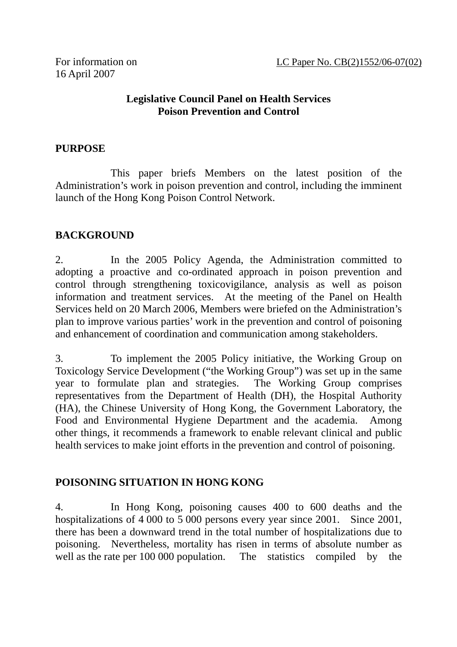#### **Legislative Council Panel on Health Services Poison Prevention and Control**

#### **PURPOSE**

 This paper briefs Members on the latest position of the Administration's work in poison prevention and control, including the imminent launch of the Hong Kong Poison Control Network.

#### **BACKGROUND**

2. In the 2005 Policy Agenda, the Administration committed to adopting a proactive and co-ordinated approach in poison prevention and control through strengthening toxicovigilance, analysis as well as poison information and treatment services. At the meeting of the Panel on Health Services held on 20 March 2006, Members were briefed on the Administration's plan to improve various parties' work in the prevention and control of poisoning and enhancement of coordination and communication among stakeholders.

3. To implement the 2005 Policy initiative, the Working Group on Toxicology Service Development ("the Working Group") was set up in the same year to formulate plan and strategies. The Working Group comprises representatives from the Department of Health (DH), the Hospital Authority (HA), the Chinese University of Hong Kong, the Government Laboratory, the Food and Environmental Hygiene Department and the academia. Among other things, it recommends a framework to enable relevant clinical and public health services to make joint efforts in the prevention and control of poisoning.

#### **POISONING SITUATION IN HONG KONG**

4. In Hong Kong, poisoning causes 400 to 600 deaths and the hospitalizations of 4 000 to 5 000 persons every year since 2001. Since 2001, there has been a downward trend in the total number of hospitalizations due to poisoning. Nevertheless, mortality has risen in terms of absolute number as well as the rate per 100 000 population. The statistics compiled by the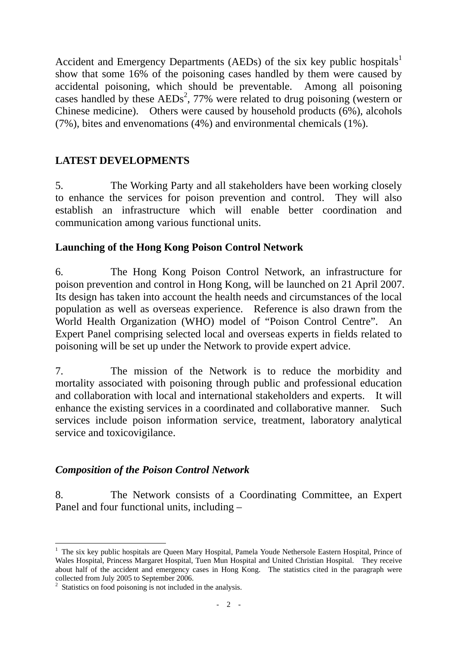Accident and Emergency Departments (AEDs) of the six key public hospitals<sup>1</sup> show that some 16% of the poisoning cases handled by them were caused by accidental poisoning, which should be preventable. Among all poisoning cases handled by these  $AEDs^2$ , 77% were related to drug poisoning (western or Chinese medicine). Others were caused by household products (6%), alcohols (7%), bites and envenomations (4%) and environmental chemicals (1%).

## **LATEST DEVELOPMENTS**

5. The Working Party and all stakeholders have been working closely to enhance the services for poison prevention and control. They will also establish an infrastructure which will enable better coordination and communication among various functional units.

## **Launching of the Hong Kong Poison Control Network**

6. The Hong Kong Poison Control Network, an infrastructure for poison prevention and control in Hong Kong, will be launched on 21 April 2007. Its design has taken into account the health needs and circumstances of the local population as well as overseas experience. Reference is also drawn from the World Health Organization (WHO) model of "Poison Control Centre". An Expert Panel comprising selected local and overseas experts in fields related to poisoning will be set up under the Network to provide expert advice.

7. The mission of the Network is to reduce the morbidity and mortality associated with poisoning through public and professional education and collaboration with local and international stakeholders and experts. It will enhance the existing services in a coordinated and collaborative manner. Such services include poison information service, treatment, laboratory analytical service and toxicovigilance.

## *Composition of the Poison Control Network*

8. The Network consists of a Coordinating Committee, an Expert Panel and four functional units, including –

 $\overline{a}$ 

<sup>&</sup>lt;sup>1</sup> The six key public hospitals are Queen Mary Hospital, Pamela Youde Nethersole Eastern Hospital, Prince of Wales Hospital, Princess Margaret Hospital, Tuen Mun Hospital and United Christian Hospital. They receive about half of the accident and emergency cases in Hong Kong. The statistics cited in the paragraph were collected from July 2005 to September 2006.

<sup>&</sup>lt;sup>2</sup> Statistics on food poisoning is not included in the analysis.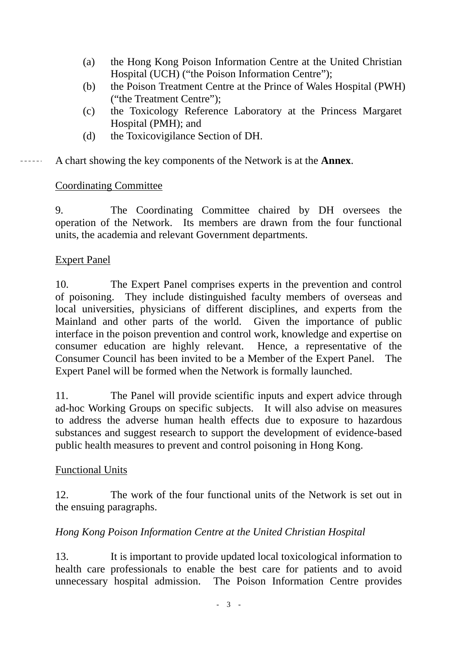- (a) the Hong Kong Poison Information Centre at the United Christian Hospital (UCH) ("the Poison Information Centre");
- (b) the Poison Treatment Centre at the Prince of Wales Hospital (PWH) ("the Treatment Centre");
- (c) the Toxicology Reference Laboratory at the Princess Margaret Hospital (PMH); and
- (d) the Toxicovigilance Section of DH.

## A chart showing the key components of the Network is at the **Annex**.

## Coordinating Committee

9. The Coordinating Committee chaired by DH oversees the operation of the Network. Its members are drawn from the four functional units, the academia and relevant Government departments.

## Expert Panel

 $\frac{1}{2}$ 

10. The Expert Panel comprises experts in the prevention and control of poisoning. They include distinguished faculty members of overseas and local universities, physicians of different disciplines, and experts from the Mainland and other parts of the world. Given the importance of public interface in the poison prevention and control work, knowledge and expertise on consumer education are highly relevant. Hence, a representative of the Consumer Council has been invited to be a Member of the Expert Panel. The Expert Panel will be formed when the Network is formally launched.

11. The Panel will provide scientific inputs and expert advice through ad-hoc Working Groups on specific subjects. It will also advise on measures to address the adverse human health effects due to exposure to hazardous substances and suggest research to support the development of evidence-based public health measures to prevent and control poisoning in Hong Kong.

#### Functional Units

12. The work of the four functional units of the Network is set out in the ensuing paragraphs.

## *Hong Kong Poison Information Centre at the United Christian Hospital*

13. It is important to provide updated local toxicological information to health care professionals to enable the best care for patients and to avoid unnecessary hospital admission. The Poison Information Centre provides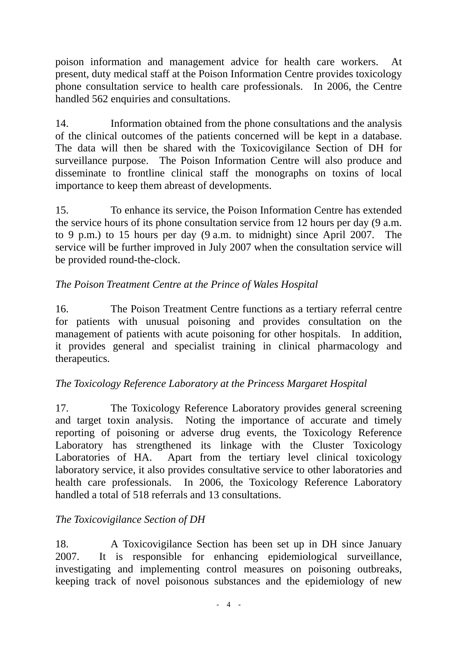poison information and management advice for health care workers. At present, duty medical staff at the Poison Information Centre provides toxicology phone consultation service to health care professionals. In 2006, the Centre handled 562 enquiries and consultations.

14. Information obtained from the phone consultations and the analysis of the clinical outcomes of the patients concerned will be kept in a database. The data will then be shared with the Toxicovigilance Section of DH for surveillance purpose. The Poison Information Centre will also produce and disseminate to frontline clinical staff the monographs on toxins of local importance to keep them abreast of developments.

15. To enhance its service, the Poison Information Centre has extended the service hours of its phone consultation service from 12 hours per day (9 a.m. to 9 p.m.) to 15 hours per day (9 a.m. to midnight) since April 2007. The service will be further improved in July 2007 when the consultation service will be provided round-the-clock.

# *The Poison Treatment Centre at the Prince of Wales Hospital*

16. The Poison Treatment Centre functions as a tertiary referral centre for patients with unusual poisoning and provides consultation on the management of patients with acute poisoning for other hospitals. In addition, it provides general and specialist training in clinical pharmacology and therapeutics.

## *The Toxicology Reference Laboratory at the Princess Margaret Hospital*

17. The Toxicology Reference Laboratory provides general screening and target toxin analysis. Noting the importance of accurate and timely reporting of poisoning or adverse drug events, the Toxicology Reference Laboratory has strengthened its linkage with the Cluster Toxicology<br>Laboratories of HA. Apart from the tertiary level clinical toxicology Apart from the tertiary level clinical toxicology laboratory service, it also provides consultative service to other laboratories and health care professionals. In 2006, the Toxicology Reference Laboratory handled a total of 518 referrals and 13 consultations.

## *The Toxicovigilance Section of DH*

18. A Toxicovigilance Section has been set up in DH since January 2007. It is responsible for enhancing epidemiological surveillance, investigating and implementing control measures on poisoning outbreaks, keeping track of novel poisonous substances and the epidemiology of new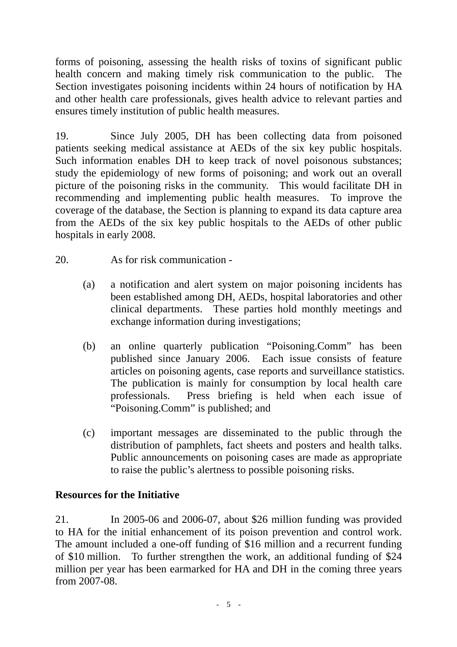forms of poisoning, assessing the health risks of toxins of significant public health concern and making timely risk communication to the public. The Section investigates poisoning incidents within 24 hours of notification by HA and other health care professionals, gives health advice to relevant parties and ensures timely institution of public health measures.

19. Since July 2005, DH has been collecting data from poisoned patients seeking medical assistance at AEDs of the six key public hospitals. Such information enables DH to keep track of novel poisonous substances; study the epidemiology of new forms of poisoning; and work out an overall picture of the poisoning risks in the community. This would facilitate DH in recommending and implementing public health measures. To improve the coverage of the database, the Section is planning to expand its data capture area from the AEDs of the six key public hospitals to the AEDs of other public hospitals in early 2008.

- 20. As for risk communication
	- (a) a notification and alert system on major poisoning incidents has been established among DH, AEDs, hospital laboratories and other clinical departments. These parties hold monthly meetings and exchange information during investigations;
	- (b) an online quarterly publication "Poisoning.Comm" has been published since January 2006. Each issue consists of feature articles on poisoning agents, case reports and surveillance statistics. The publication is mainly for consumption by local health care professionals. Press briefing is held when each issue of "Poisoning.Comm" is published; and
	- (c) important messages are disseminated to the public through the distribution of pamphlets, fact sheets and posters and health talks. Public announcements on poisoning cases are made as appropriate to raise the public's alertness to possible poisoning risks.

#### **Resources for the Initiative**

21. In 2005-06 and 2006-07, about \$26 million funding was provided to HA for the initial enhancement of its poison prevention and control work. The amount included a one-off funding of \$16 million and a recurrent funding of \$10 million. To further strengthen the work, an additional funding of \$24 million per year has been earmarked for HA and DH in the coming three years from 2007-08.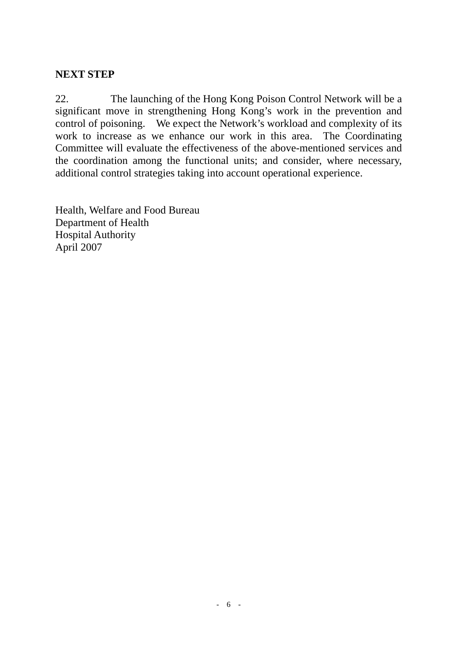## **NEXT STEP**

22. The launching of the Hong Kong Poison Control Network will be a significant move in strengthening Hong Kong's work in the prevention and control of poisoning. We expect the Network's workload and complexity of its work to increase as we enhance our work in this area. The Coordinating Committee will evaluate the effectiveness of the above-mentioned services and the coordination among the functional units; and consider, where necessary, additional control strategies taking into account operational experience.

Health, Welfare and Food Bureau Department of Health Hospital Authority April 2007